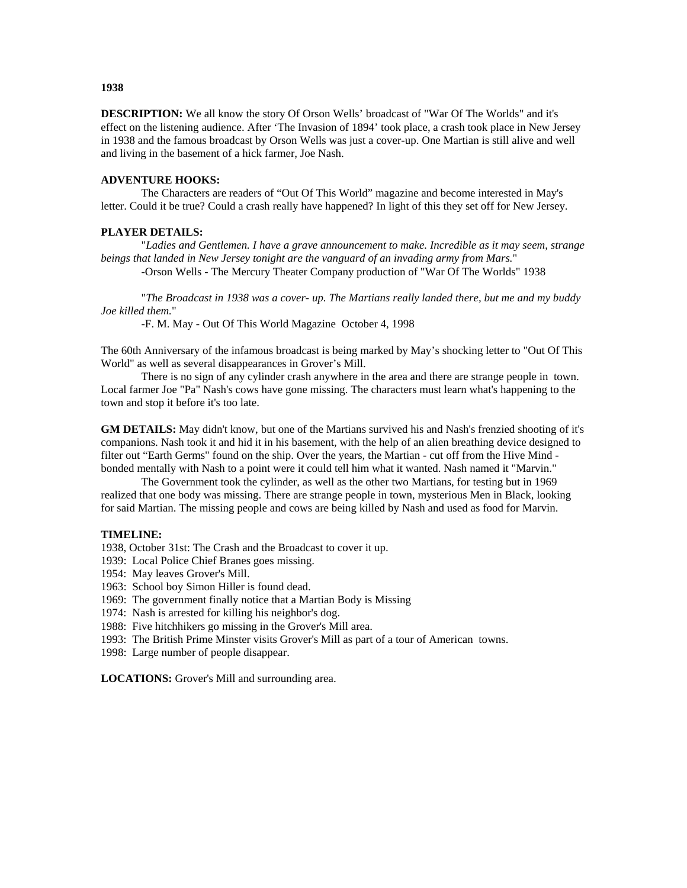**DESCRIPTION:** We all know the story Of Orson Wells' broadcast of "War Of The Worlds" and it's effect on the listening audience. After 'The Invasion of 1894' took place, a crash took place in New Jersey in 1938 and the famous broadcast by Orson Wells was just a cover-up. One Martian is still alive and well and living in the basement of a hick farmer, Joe Nash.

# **ADVENTURE HOOKS:**

The Characters are readers of "Out Of This World" magazine and become interested in May's letter. Could it be true? Could a crash really have happened? In light of this they set off for New Jersey.

### **PLAYER DETAILS:**

 "*Ladies and Gentlemen. I have a grave announcement to make. Incredible as it may seem, strange beings that landed in New Jersey tonight are the vanguard of an invading army from Mars.*"

-Orson Wells - The Mercury Theater Company production of "War Of The Worlds" 1938

 "*The Broadcast in 1938 was a cover- up. The Martians really landed there, but me and my buddy Joe killed them.*"

-F. M. May - Out Of This World Magazine October 4, 1998

The 60th Anniversary of the infamous broadcast is being marked by May's shocking letter to "Out Of This World" as well as several disappearances in Grover's Mill.

 There is no sign of any cylinder crash anywhere in the area and there are strange people in town. Local farmer Joe "Pa" Nash's cows have gone missing. The characters must learn what's happening to the town and stop it before it's too late.

**GM DETAILS:** May didn't know, but one of the Martians survived his and Nash's frenzied shooting of it's companions. Nash took it and hid it in his basement, with the help of an alien breathing device designed to filter out "Earth Germs" found on the ship. Over the years, the Martian - cut off from the Hive Mind bonded mentally with Nash to a point were it could tell him what it wanted. Nash named it "Marvin."

 The Government took the cylinder, as well as the other two Martians, for testing but in 1969 realized that one body was missing. There are strange people in town, mysterious Men in Black, looking for said Martian. The missing people and cows are being killed by Nash and used as food for Marvin.

#### **TIMELINE:**

1938, October 31st: The Crash and the Broadcast to cover it up.

1939: Local Police Chief Branes goes missing.

1954: May leaves Grover's Mill.

1963: School boy Simon Hiller is found dead.

1969: The government finally notice that a Martian Body is Missing

1974: Nash is arrested for killing his neighbor's dog.

1988: Five hitchhikers go missing in the Grover's Mill area.

1993: The British Prime Minster visits Grover's Mill as part of a tour of American towns.

1998: Large number of people disappear.

**LOCATIONS:** Grover's Mill and surrounding area.

#### **1938**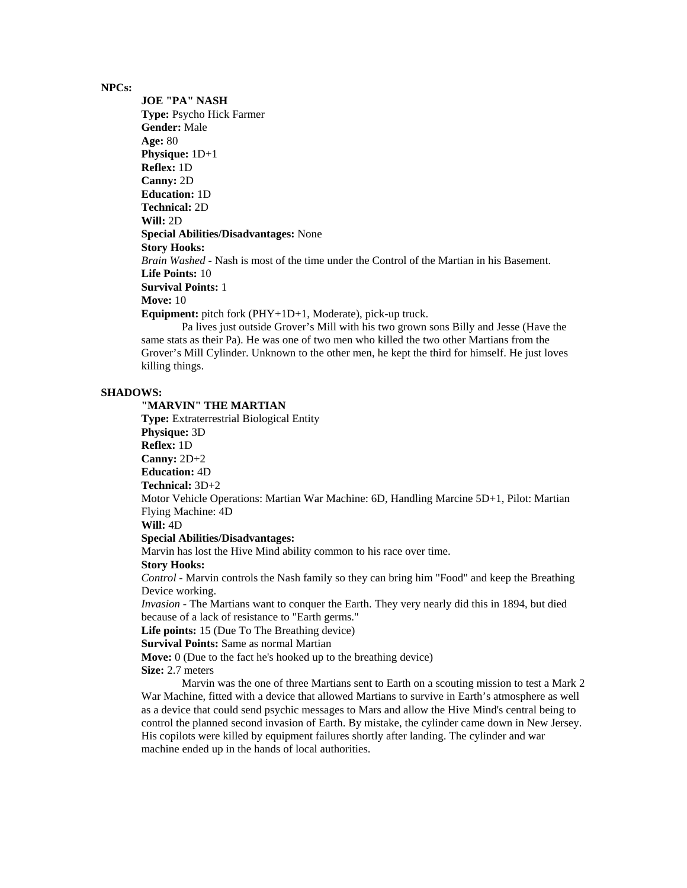### **NPCs:**

**JOE "PA" NASH Type:** Psycho Hick Farmer **Gender:** Male **Age:** 80 **Physique:** 1D+1 **Reflex:** 1D **Canny:** 2D **Education:** 1D **Technical:** 2D **Will:** 2D **Special Abilities/Disadvantages:** None **Story Hooks:** *Brain Washed* - Nash is most of the time under the Control of the Martian in his Basement. **Life Points:** 10 **Survival Points:** 1 **Move:** 10 **Equipment:** pitch fork (PHY+1D+1, Moderate), pick-up truck.

 Pa lives just outside Grover's Mill with his two grown sons Billy and Jesse (Have the same stats as their Pa). He was one of two men who killed the two other Martians from the Grover's Mill Cylinder. Unknown to the other men, he kept the third for himself. He just loves killing things.

### **SHADOWS:**

**"MARVIN" THE MARTIAN Type:** Extraterrestrial Biological Entity **Physique:** 3D **Reflex:** 1D **Canny:** 2D+2 **Education:** 4D **Technical:** 3D+2 Motor Vehicle Operations: Martian War Machine: 6D, Handling Marcine 5D+1, Pilot: Martian Flying Machine: 4D **Will:** 4D **Special Abilities/Disadvantages:**

Marvin has lost the Hive Mind ability common to his race over time.

#### **Story Hooks:**

*Control* - Marvin controls the Nash family so they can bring him "Food" and keep the Breathing Device working.

*Invasion* - The Martians want to conquer the Earth. They very nearly did this in 1894, but died because of a lack of resistance to "Earth germs."

**Life points:** 15 (Due To The Breathing device)

# **Survival Points:** Same as normal Martian

**Move:** 0 (Due to the fact he's hooked up to the breathing device)

**Size:** 2.7 meters

 Marvin was the one of three Martians sent to Earth on a scouting mission to test a Mark 2 War Machine, fitted with a device that allowed Martians to survive in Earth's atmosphere as well as a device that could send psychic messages to Mars and allow the Hive Mind's central being to control the planned second invasion of Earth. By mistake, the cylinder came down in New Jersey. His copilots were killed by equipment failures shortly after landing. The cylinder and war machine ended up in the hands of local authorities.